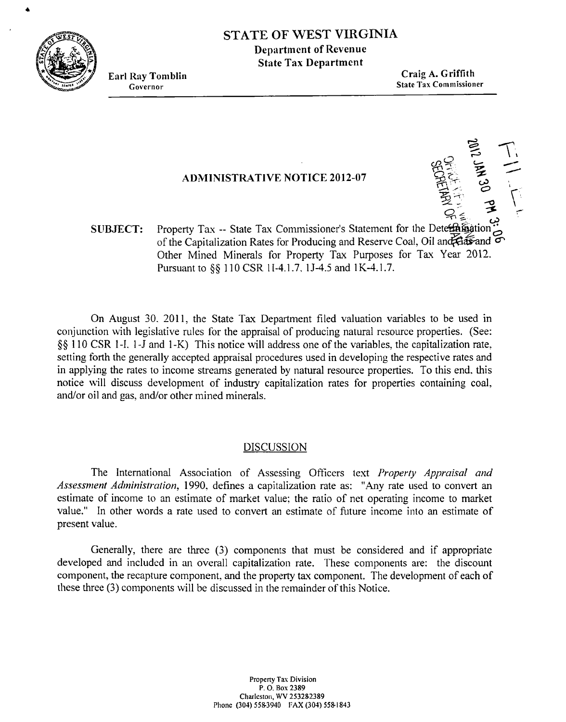

# **STATE OF** WEST **VIRGINIA Department of Revenue**

**State Tas Departmcnt** 

**Earl Ray Toniblin Craig A. Griffith Governor** State Tax Commissioner

## **ADMINISTRATIVE NOTICE 2012-07**

**11.1 JAN 30 PM 3.2 L** 

**SUBJECT:** Property Tax -- State Tax Commissioner's Statement for the Deterthingtion of the Capitalization Rates for Producing and Reserve Coal, Oil and **flats** and  $\sigma$ Other Mined Minerals for Property Tax Purposes for Tax Year 2012. Pursuant to §§ 110 CSR 1I-4.1.7, 1J-4.5 and 1K-4.1.7.

On August 30, 2011, the State Tax Department filed valuation variables to be used in conijunction with legislative rules for the appraisal of producing natural resource properties. (See: \$\$ 1 10 CSR I-I. 1 -J and I -K) This notice will address one of the variables, the capitalization rate. setting forth the generally accepted appraisal procedures used in developing the respective rates and in applying the rates to income streams generated by natural resource properties. To this end. this notice mill discuss development of industry capitalization rates for properties containing coal. and/or oil and gas, and/or other mined minerals.

## DISCUSSION

The International Association of Assessing Ofiicers text *Properly Appraisal and Assessment Administration, 1990, defines a capitalization rate as:* "Any rate used to convert an estimate of income to an estimate of market value: the ratio of net operating income to market value." In other words a rate used to convert an estimate of hture income into an estimate of present value.

Generally, there are three (3) components that must be considered and if appropriate developed and includcd in an overall capitalization rate. These components are: the discount component, the recapture component, and the property tax component. The development of each of these three (3) components will be discussed in the remainder of this Notice.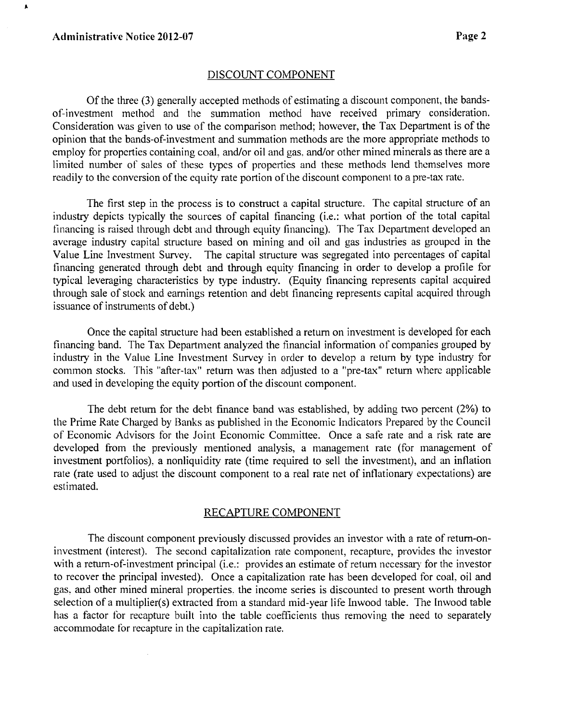$\pmb{\ast}$ 

#### DISCOUNT COMPONENT

Of the three **(3)** generally accepted methods of estimating a discount component, the bandsof-investment method and the sun~mation method have received primary consideration. Consideration was given to use of the comparison method; however, the Tax Department is of the opinion that the bands-of-investment and summation methods are the more appropriate methods to employ for properties containing coal. and/or oil and gas. and/or other mined minerals as there are a limited number of sales of these types of properties and these methods lend themselves more readily to the conversion of the equity rate portion of the discount component to a pre-tax rate.

The first step in the process is to construct a capital structure. The capital structure of an industry depicts typically the sources of capital financing (i.e.: what portion of the total capital financing is raised through debt and through equity financing). The Tax Department developed an average industry capital structure based on rnining and oil and gas industries as groupcd in the Value Line Investment Survey. The capital structure **was** segregated into percentages of capital financing generated through debt and through equity financing in order to develop a profile for typical leveraging characteristics by type industry. (Equity financing represents capital acquired through sale of stock and earnings retention and debt financing represents capital acquired through issuance of instruments of debt.)

Once the capital structure had been established a return on investment is developed for each financing band. The Tax Department analyzed the financial information of companies grouped by industry in the Value Line Investment Survey in order to develop a return by type industry for common stocks. This "after-tax" return was then adjusted to a "pre-tax" return where applicable and used in developing the equity portion of the discount component.

The debt return for the debt finance band was established, by adding two percent (2%) to the Prime Rate Charged by Banks as published in the Economic Indicators Prepared by thc Council of Economic Advisors for the Joint Economic Committee. Once a safe rate and a risk rate are developed from the previously mentioned analysis, a management rate (for management of investment portfolios). a nonliquidity rate (time required to sell the investment), and an inflation rate (rate used to adjust the discount component to a real rate net of intlationary expectations) are estimated.

### RECAPTURE COMPONENT

The discount component previously discussed provides an investor with a rate of return-oninvestment (interest). The second capitalization rate component, recapture, provides the investor with a return-of-investment principal (i.e.: provides an estimate of return necessary for the investor to recover the principal invested). Once a capitalization rate has been developed for coal. oil and gas. and other mined mineral properties. the income series is discounted to present worth through selection of a multiplier(s) extracted from a standard mid-year life Inwood table. The Inwood table has a factor for recapture built into the table coefficients thus removing the need to separately accommodate for recapture in the capitalization rate.

 $\hat{\boldsymbol{\gamma}}$